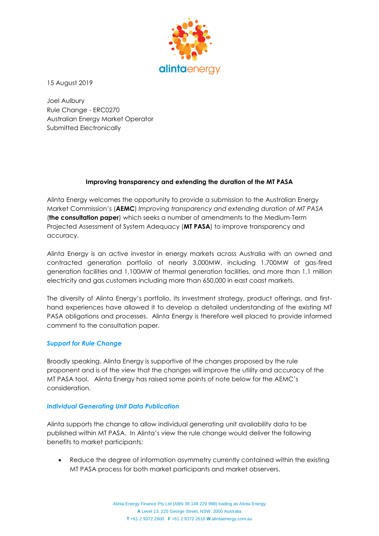

15 August 2019

Joel Aulbury Rule Change - ERC0270 Australian Energy Market Operator Submitted Electronically

# **Improving transparency and extending the duration of the MT PASA**

Alinta Energy welcomes the opportunity to provide a submission to the Australian Energy Market Commission's (**AEMC**) *Improving transparency and extending duration of MT PASA* (**the consultation paper**) which seeks a number of amendments to the Medium-Term Projected Assessment of System Adequacy (**MT PASA**) to improve transparency and accuracy.

Alinta Energy is an active investor in energy markets across Australia with an owned and contracted generation portfolio of nearly 3,000MW, including 1,700MW of gas-fired generation facilities and 1,100MW of thermal generation facilities, and more than 1.1 million electricity and gas customers including more than 650,000 in east coast markets.

The diversity of Alinta Energy's portfolio, its investment strategy, product offerings, and firsthand experiences have allowed it to develop a detailed understanding of the existing MT PASA obligations and processes. Alinta Energy is therefore well placed to provide informed comment to the consultation paper.

## *Support for Rule Change*

Broadly speaking, Alinta Energy is supportive of the changes proposed by the rule proponent and is of the view that the changes will improve the utility and accuracy of the MT PASA tool. Alinta Energy has raised some points of note below for the AEMC's consideration.

#### *Individual Generating Unit Data Publication*

Alinta supports the change to allow individual generating unit availability data to be published within MT PASA. In Alinta's view the rule change would deliver the following benefits to market participants:

• Reduce the degree of information asymmetry currently contained within the existing MT PASA process for both market participants and market observers.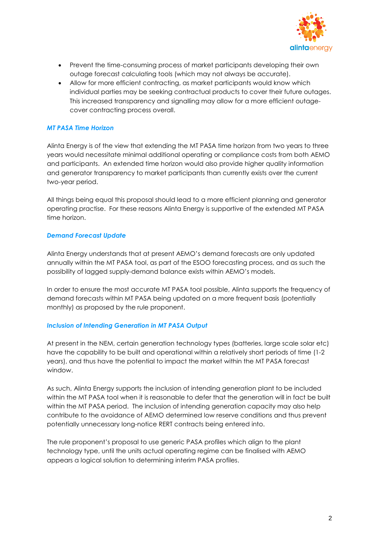

- Prevent the time-consuming process of market participants developing their own outage forecast calculating tools (which may not always be accurate).
- Allow for more efficient contracting, as market participants would know which individual parties may be seeking contractual products to cover their future outages. This increased transparency and signalling may allow for a more efficient outagecover contracting process overall.

## *MT PASA Time Horizon*

Alinta Energy is of the view that extending the MT PASA time horizon from two years to three years would necessitate minimal additional operating or compliance costs from both AEMO and participants. An extended time horizon would also provide higher quality information and generator transparency to market participants than currently exists over the current two-year period.

All things being equal this proposal should lead to a more efficient planning and generator operating practise. For these reasons Alinta Energy is supportive of the extended MT PASA time horizon.

## *Demand Forecast Update*

Alinta Energy understands that at present AEMO's demand forecasts are only updated annually within the MT PASA tool, as part of the ESOO forecasting process, and as such the possibility of lagged supply-demand balance exists within AEMO's models.

In order to ensure the most accurate MT PASA tool possible, Alinta supports the frequency of demand forecasts within MT PASA being updated on a more frequent basis (potentially monthly) as proposed by the rule proponent.

#### *Inclusion of Intending Generation in MT PASA Output*

At present in the NEM, certain generation technology types (batteries, large scale solar etc) have the capability to be built and operational within a relatively short periods of time (1-2 years), and thus have the potential to impact the market within the MT PASA forecast window.

As such, Alinta Energy supports the inclusion of intending generation plant to be included within the MT PASA tool when it is reasonable to defer that the generation will in fact be built within the MT PASA period. The inclusion of intending generation capacity may also help contribute to the avoidance of AEMO determined low reserve conditions and thus prevent potentially unnecessary long-notice RERT contracts being entered into.

The rule proponent's proposal to use generic PASA profiles which align to the plant technology type, until the units actual operating regime can be finalised with AEMO appears a logical solution to determining interim PASA profiles.